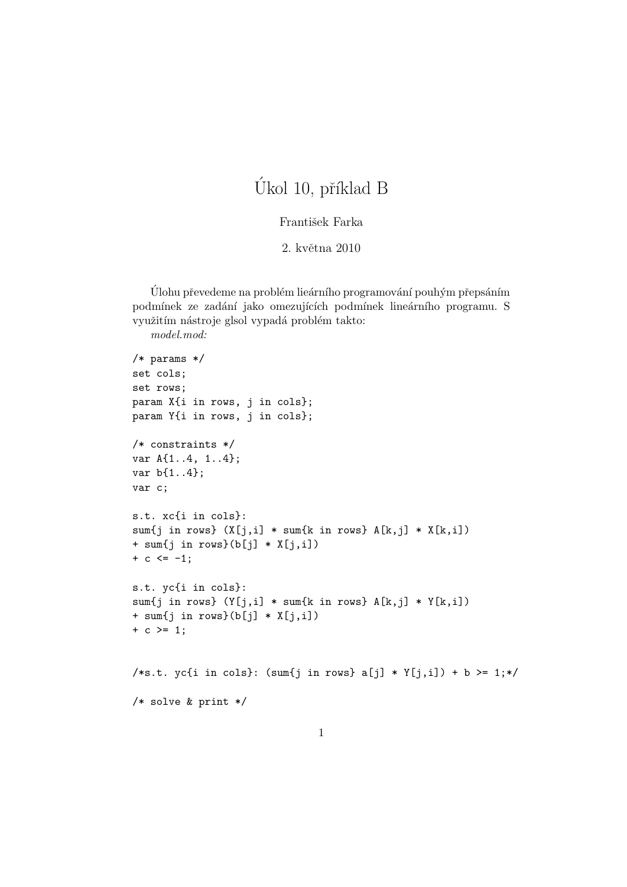## Úkol 10, příklad B

## František Farka

## 2. května 2010

Ulohu převedeme na problém lieárního programování pouhým přepsáním podmínek ze zadání jako omezujících podmínek lineárního programu. S využitím nástroje glsol vypadá problém takto:

```
model.mod:
```

```
/* params */
set cols;
set rows;
param X{i in rows, j in cols};
param Y{i in rows, j in cols};
/* constraints */
var A{1..4, 1..4};
var b{1..4};
var c;
s.t. xc{i in cols}:
sum\{j \text{ in rows}\} (X[j,i] * sum\{k \text{ in rows}\} A[k,j] * X[k,i])+ sum{j in rows}(b[j] * X[j,i])
+ c \le -1;
s.t. yc{i in cols}:
sum{j in rows} (Y[j,i] * sum{k in rows} A[k,j] * Y[k,i])+ sum{j in rows}(b[j] * X[j,i])
+ c >= 1;
/*s.t. yc{i in cols}: (sum{j in rows} a[j] * Y[j,i]) + b >= 1;*/
/* solve & print */
```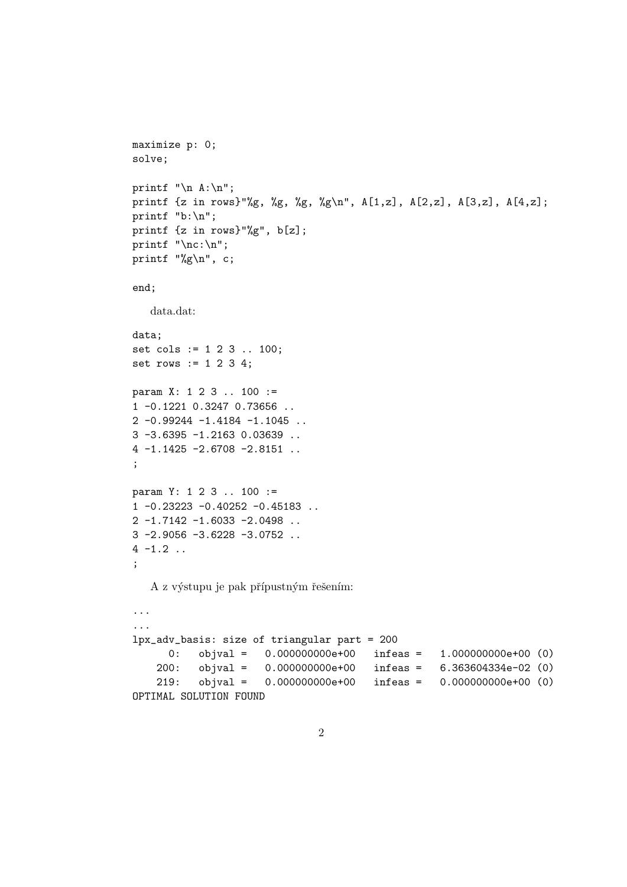```
maximize p: 0;
solve;
printf "\n\in A:\n\infty;
printf {z in rows}"%g, %g, %g, %g\n", A[1,z], A[2,z], A[3,z], A[4,z];
printf "b:\n";
printf {z in rows}"%g", b[z];
printf "\nc:\n";
printf "%g\n", c;
end;
   data.dat:
data;
set cols := 1 2 3 .. 100;
set rows := 1 2 3 4;
param X: 1 2 3 .. 100 :=
1 -0.1221 0.3247 0.73656 ..
2 -0.99244 -1.4184 -1.1045 ..
3 -3.6395 -1.2163 0.03639 ..
4 -1.1425 -2.6708 -2.8151 ..
;
param Y: 1 2 3 .. 100 :=
1 -0.23223 -0.40252 -0.45183 ..
2 -1.7142 -1.6033 -2.0498 ..
3 -2.9056 -3.6228 -3.0752 ..
4 -1.2 ..
;
   A z výstupu je pak přípustným řešením:
...
...
lpx_adv_basis: size of triangular part = 200
      0: objval = 0.000000000e+00 infeas = 1.000000000e+00 (0)
    200: objval = 0.000000000e+00 infeas = 6.363604334e-02 (0)
    219: objval = 0.000000000e+00 infeas = 0.000000000e+00 (0)
OPTIMAL SOLUTION FOUND
```